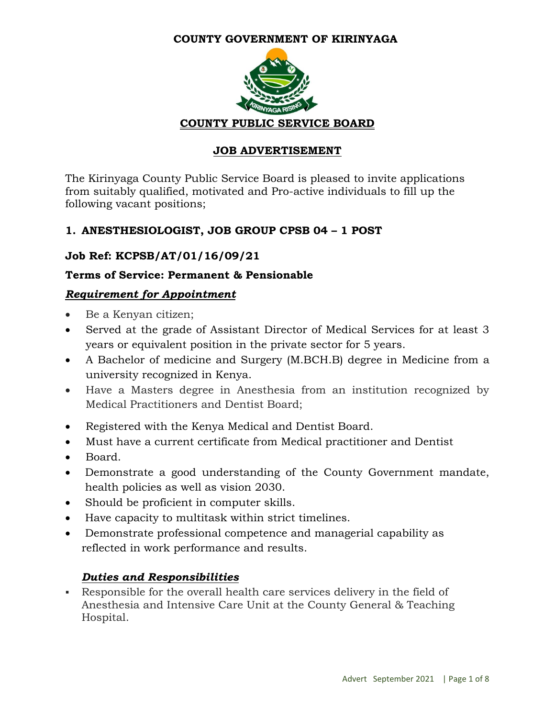#### **COUNTY GOVERNMENT OF KIRINYAGA**



#### **JOB ADVERTISEMENT**

The Kirinyaga County Public Service Board is pleased to invite applications from suitably qualified, motivated and Pro-active individuals to fill up the following vacant positions;

#### **1. ANESTHESIOLOGIST, JOB GROUP CPSB 04 – 1 POST**

#### **Job Ref: KCPSB/AT/01/16/09/21**

#### **Terms of Service: Permanent & Pensionable**

#### *Requirement for Appointment*

- Be a Kenyan citizen;
- Served at the grade of Assistant Director of Medical Services for at least 3 years or equivalent position in the private sector for 5 years.
- A Bachelor of medicine and Surgery (M.BCH.B) degree in Medicine from a university recognized in Kenya.
- Have a Masters degree in Anesthesia from an institution recognized by Medical Practitioners and Dentist Board;
- Registered with the Kenya Medical and Dentist Board.
- Must have a current certificate from Medical practitioner and Dentist
- Board.
- Demonstrate a good understanding of the County Government mandate, health policies as well as vision 2030.
- Should be proficient in computer skills.
- Have capacity to multitask within strict timelines.
- Demonstrate professional competence and managerial capability as reflected in work performance and results.

#### *Duties and Responsibilities*

 Responsible for the overall health care services delivery in the field of Anesthesia and Intensive Care Unit at the County General & Teaching Hospital.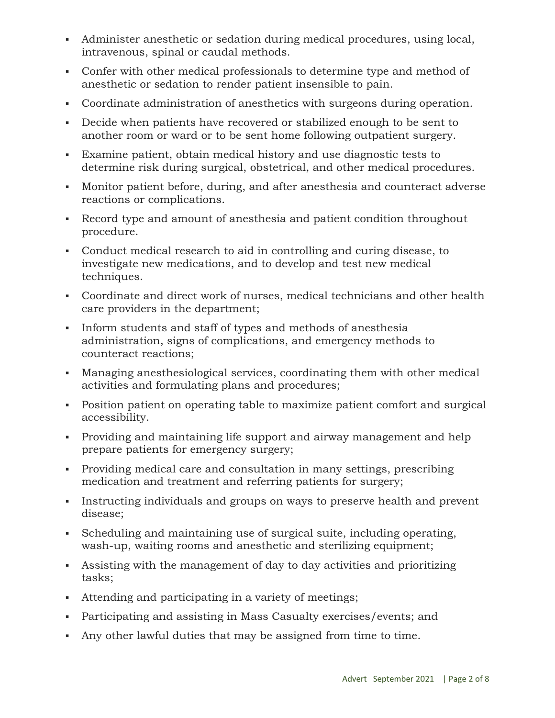- Administer anesthetic or sedation during medical procedures, using local, intravenous, spinal or caudal methods.
- Confer with other medical professionals to determine type and method of anesthetic or sedation to render patient insensible to pain.
- Coordinate administration of anesthetics with surgeons during operation.
- Decide when patients have recovered or stabilized enough to be sent to another room or ward or to be sent home following outpatient surgery.
- Examine patient, obtain medical history and use diagnostic tests to determine risk during surgical, obstetrical, and other medical procedures.
- Monitor patient before, during, and after anesthesia and counteract adverse reactions or complications.
- Record type and amount of anesthesia and patient condition throughout procedure.
- Conduct medical research to aid in controlling and curing disease, to investigate new medications, and to develop and test new medical techniques.
- Coordinate and direct work of nurses, medical technicians and other health care providers in the department;
- Inform students and staff of types and methods of anesthesia administration, signs of complications, and emergency methods to counteract reactions;
- Managing anesthesiological services, coordinating them with other medical activities and formulating plans and procedures;
- Position patient on operating table to maximize patient comfort and surgical accessibility.
- Providing and maintaining life support and airway management and help prepare patients for emergency surgery;
- Providing medical care and consultation in many settings, prescribing medication and treatment and referring patients for surgery;
- Instructing individuals and groups on ways to preserve health and prevent disease;
- Scheduling and maintaining use of surgical suite, including operating, wash-up, waiting rooms and anesthetic and sterilizing equipment;
- Assisting with the management of day to day activities and prioritizing tasks;
- Attending and participating in a variety of meetings;
- Participating and assisting in Mass Casualty exercises/events; and
- Any other lawful duties that may be assigned from time to time.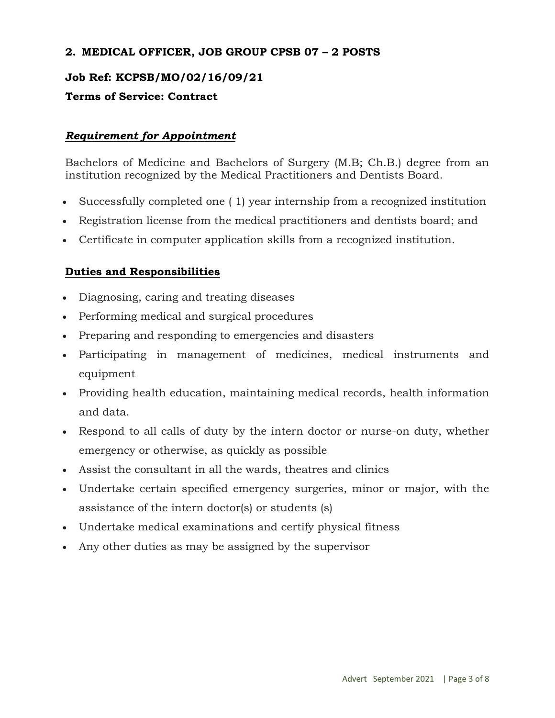#### **2. MEDICAL OFFICER, JOB GROUP CPSB 07 – 2 POSTS**

#### **Job Ref: KCPSB/MO/02/16/09/21**

#### **Terms of Service: Contract**

#### *Requirement for Appointment*

Bachelors of Medicine and Bachelors of Surgery (M.B; Ch.B.) degree from an institution recognized by the Medical Practitioners and Dentists Board.

- Successfully completed one ( 1) year internship from a recognized institution
- Registration license from the medical practitioners and dentists board; and
- Certificate in computer application skills from a recognized institution.

#### **Duties and Responsibilities**

- Diagnosing, caring and treating diseases
- Performing medical and surgical procedures
- Preparing and responding to emergencies and disasters
- Participating in management of medicines, medical instruments and equipment
- Providing health education, maintaining medical records, health information and data.
- Respond to all calls of duty by the intern doctor or nurse-on duty, whether emergency or otherwise, as quickly as possible
- Assist the consultant in all the wards, theatres and clinics
- Undertake certain specified emergency surgeries, minor or major, with the assistance of the intern doctor(s) or students (s)
- Undertake medical examinations and certify physical fitness
- Any other duties as may be assigned by the supervisor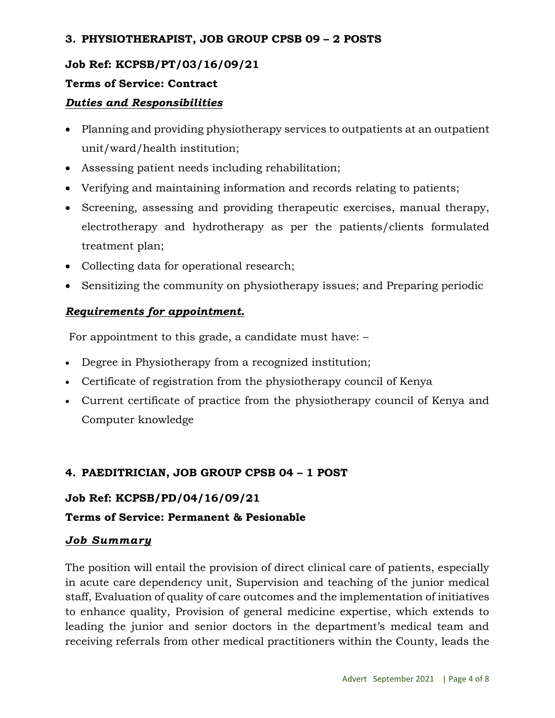#### **3. PHYSIOTHERAPIST, JOB GROUP CPSB 09 – 2 POSTS**

## **Job Ref: KCPSB/PT/03/16/09/21**

### **Terms of Service: Contract**

### *Duties and Responsibilities*

- Planning and providing physiotherapy services to outpatients at an outpatient unit/ward/health institution;
- Assessing patient needs including rehabilitation;
- Verifying and maintaining information and records relating to patients;
- Screening, assessing and providing therapeutic exercises, manual therapy, electrotherapy and hydrotherapy as per the patients/clients formulated treatment plan;
- Collecting data for operational research;
- Sensitizing the community on physiotherapy issues; and Preparing periodic

## *Requirements for appointment.*

For appointment to this grade, a candidate must have: –

- Degree in Physiotherapy from a recognized institution;
- Certificate of registration from the physiotherapy council of Kenya
- Current certificate of practice from the physiotherapy council of Kenya and Computer knowledge

## **4. PAEDITRICIAN, JOB GROUP CPSB 04 – 1 POST**

## **Job Ref: KCPSB/PD/04/16/09/21**

## **Terms of Service: Permanent & Pesionable**

## *Job Summary*

The position will entail the provision of direct clinical care of patients, especially in acute care dependency unit, Supervision and teaching of the junior medical staff, Evaluation of quality of care outcomes and the implementation of initiatives to enhance quality, Provision of general medicine expertise, which extends to leading the junior and senior doctors in the department's medical team and receiving referrals from other medical practitioners within the County, leads the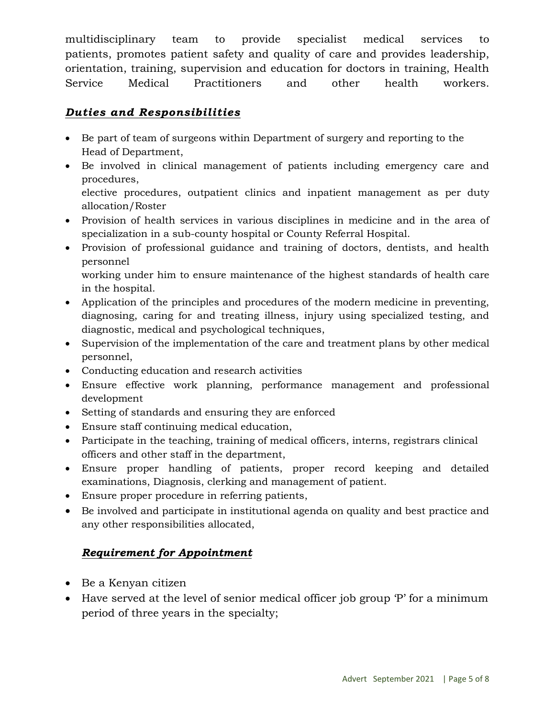multidisciplinary team to provide specialist medical services to patients, promotes patient safety and quality of care and provides leadership, orientation, training, supervision and education for doctors in training, Health Service Medical Practitioners and other health workers.

## *Duties and Responsibilities*

- Be part of team of surgeons within Department of surgery and reporting to the Head of Department,
- Be involved in clinical management of patients including emergency care and procedures, elective procedures, outpatient clinics and inpatient management as per duty

allocation/Roster

- Provision of health services in various disciplines in medicine and in the area of specialization in a sub-county hospital or County Referral Hospital.
- Provision of professional guidance and training of doctors, dentists, and health personnel

working under him to ensure maintenance of the highest standards of health care in the hospital.

- Application of the principles and procedures of the modern medicine in preventing, diagnosing, caring for and treating illness, injury using specialized testing, and diagnostic, medical and psychological techniques,
- Supervision of the implementation of the care and treatment plans by other medical personnel,
- Conducting education and research activities
- Ensure effective work planning, performance management and professional development
- Setting of standards and ensuring they are enforced
- Ensure staff continuing medical education,
- Participate in the teaching, training of medical officers, interns, registrars clinical officers and other staff in the department,
- Ensure proper handling of patients, proper record keeping and detailed examinations, Diagnosis, clerking and management of patient.
- Ensure proper procedure in referring patients,
- Be involved and participate in institutional agenda on quality and best practice and any other responsibilities allocated,

## *Requirement for Appointment*

- Be a Kenyan citizen
- Have served at the level of senior medical officer job group 'P' for a minimum period of three years in the specialty;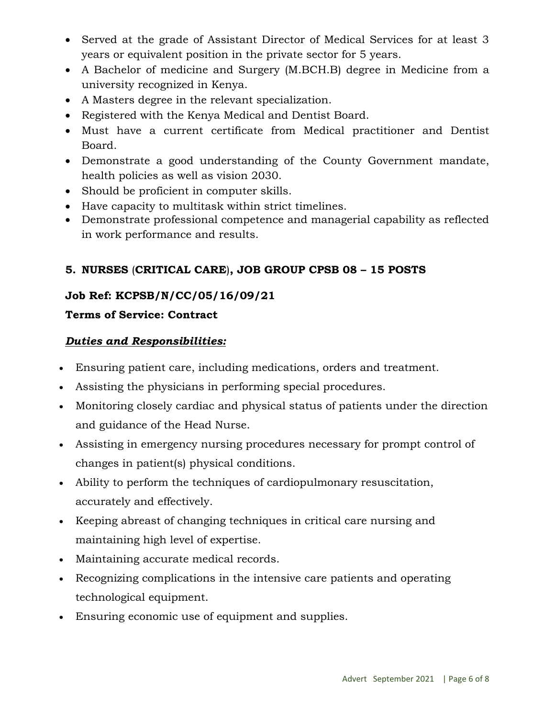- Served at the grade of Assistant Director of Medical Services for at least 3 years or equivalent position in the private sector for 5 years.
- A Bachelor of medicine and Surgery (M.BCH.B) degree in Medicine from a university recognized in Kenya.
- A Masters degree in the relevant specialization.
- Registered with the Kenya Medical and Dentist Board.
- Must have a current certificate from Medical practitioner and Dentist Board.
- Demonstrate a good understanding of the County Government mandate, health policies as well as vision 2030.
- Should be proficient in computer skills.
- Have capacity to multitask within strict timelines.
- Demonstrate professional competence and managerial capability as reflected in work performance and results.

# **5. NURSES** (**CRITICAL CARE**)**, JOB GROUP CPSB 08 – 15 POSTS**

# **Job Ref: KCPSB/N/CC/05/16/09/21**

## **Terms of Service: Contract**

### *Duties and Responsibilities:*

- Ensuring patient care, including medications, orders and treatment.
- Assisting the physicians in performing special procedures.
- Monitoring closely cardiac and physical status of patients under the direction and guidance of the Head Nurse.
- Assisting in emergency nursing procedures necessary for prompt control of changes in patient(s) physical conditions.
- Ability to perform the techniques of cardiopulmonary resuscitation, accurately and effectively.
- Keeping abreast of changing techniques in critical care nursing and maintaining high level of expertise.
- Maintaining accurate medical records.
- Recognizing complications in the intensive care patients and operating technological equipment.
- Ensuring economic use of equipment and supplies.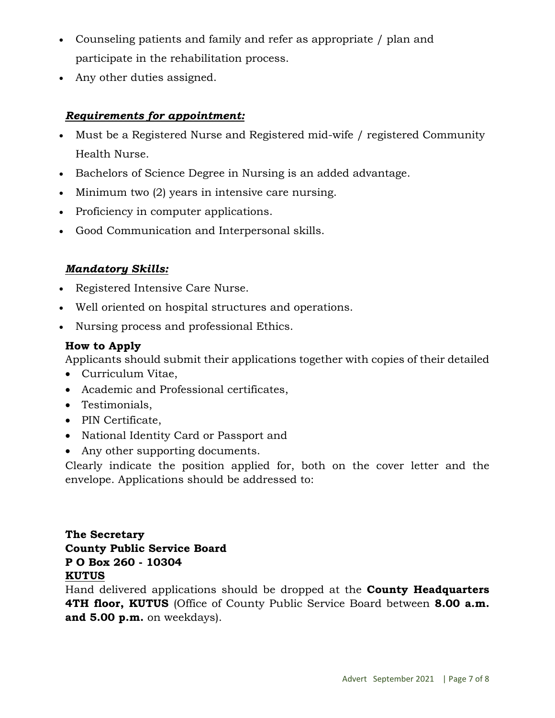- Counseling patients and family and refer as appropriate / plan and participate in the rehabilitation process.
- Any other duties assigned.

### *Requirements for appointment:*

- Must be a Registered Nurse and Registered mid-wife / registered Community Health Nurse.
- Bachelors of Science Degree in Nursing is an added advantage.
- Minimum two (2) years in intensive care nursing.
- Proficiency in computer applications.
- Good Communication and Interpersonal skills.

#### *Mandatory Skills:*

- Registered Intensive Care Nurse.
- Well oriented on hospital structures and operations.
- Nursing process and professional Ethics.

#### **How to Apply**

Applicants should submit their applications together with copies of their detailed

- Curriculum Vitae,
- Academic and Professional certificates,
- Testimonials,
- PIN Certificate,
- National Identity Card or Passport and
- Any other supporting documents.

Clearly indicate the position applied for, both on the cover letter and the envelope. Applications should be addressed to:

### **The Secretary County Public Service Board P O Box 260 - 10304 KUTUS**

Hand delivered applications should be dropped at the **County Headquarters 4TH floor, KUTUS** (Office of County Public Service Board between **8.00 a.m. and 5.00 p.m.** on weekdays).